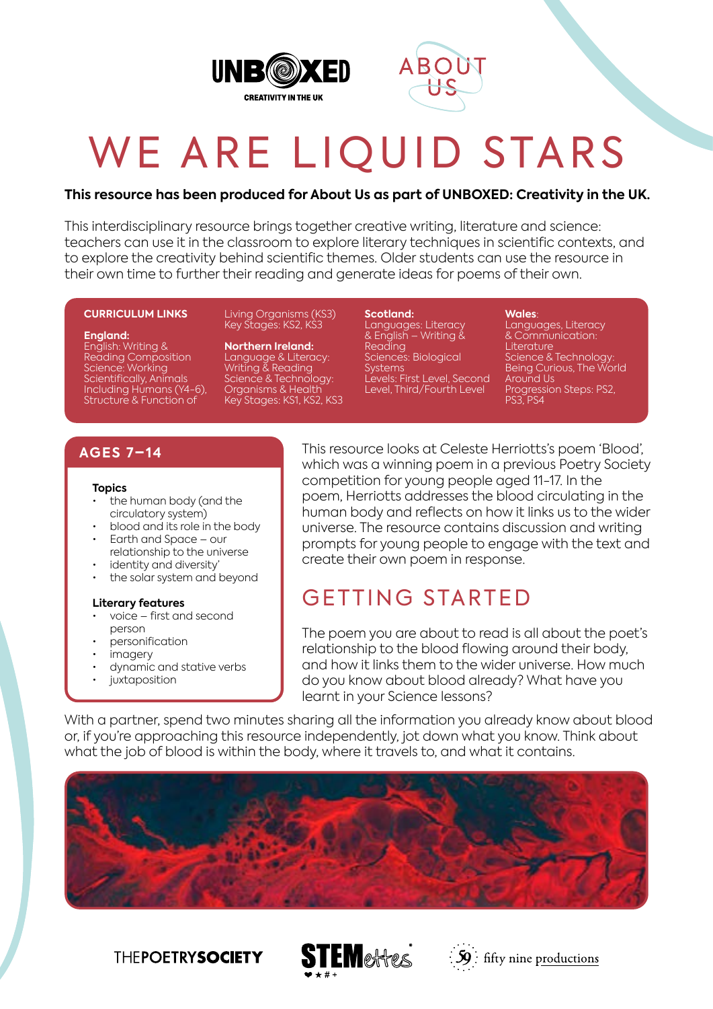



# WE ARE LIQUID STARS

#### **This resource has been produced for About Us as part of UNBOXED: Creativity in the UK.**

This interdisciplinary resource brings together creative writing, literature and science: teachers can use it in the classroom to explore literary techniques in scientific contexts, and to explore the creativity behind scientific themes. Older students can use the resource in their own time to further their reading and generate ideas for poems of their own.

#### **CURRICULUM LINKS**

**England:**

English: Writing & Reading Composition Science: Working Scientifically, Animals Including Humans (Y4-6), Structure & Function of

Living Organisms (KS3) Key Stages: KS2, KS3

**Northern Ireland:** Language & Literacy: Writing & Reading Science & Technology: Organisms & Health Key Stages: KS1, KS2, KS3 **Scotland:** Languages: Literacy & English – Writing & Reading Sciences: Biological **Systems** Levels: First Level, Second Level, Third/Fourth Level

**Wales**:

Languages, Literacy & Communication: Literature Science & Technology: Being Curious, The World Around Us Progression Steps: PS2, PS3, PS4

#### **AGES 7–14**

#### **Topics**

- the human body (and the circulatory system)
- blood and its role in the body • Earth and Space – our
- relationship to the universe identity and diversity
- the solar system and beyond

#### **Literary features**

- voice first and second person
- personification
- imagery
- dynamic and stative verbs
- juxtaposition

This resource looks at Celeste Herriotts's poem 'Blood', which was a winning poem in a previous Poetry Society competition for young people aged 11-17. In the poem, Herriotts addresses the blood circulating in the human body and reflects on how it links us to the wider universe. The resource contains discussion and writing prompts for young people to engage with the text and create their own poem in response.

# GETTING STARTED

The poem you are about to read is all about the poet's relationship to the blood flowing around their body, and how it links them to the wider universe. How much do you know about blood already? What have you learnt in your Science lessons?

With a partner, spend two minutes sharing all the information you already know about blood or, if you're approaching this resource independently, jot down what you know. Think about what the job of blood is within the body, where it travels to, and what it contains.









 $\frac{1}{2}\mathbf{S}$  : fifty nine productions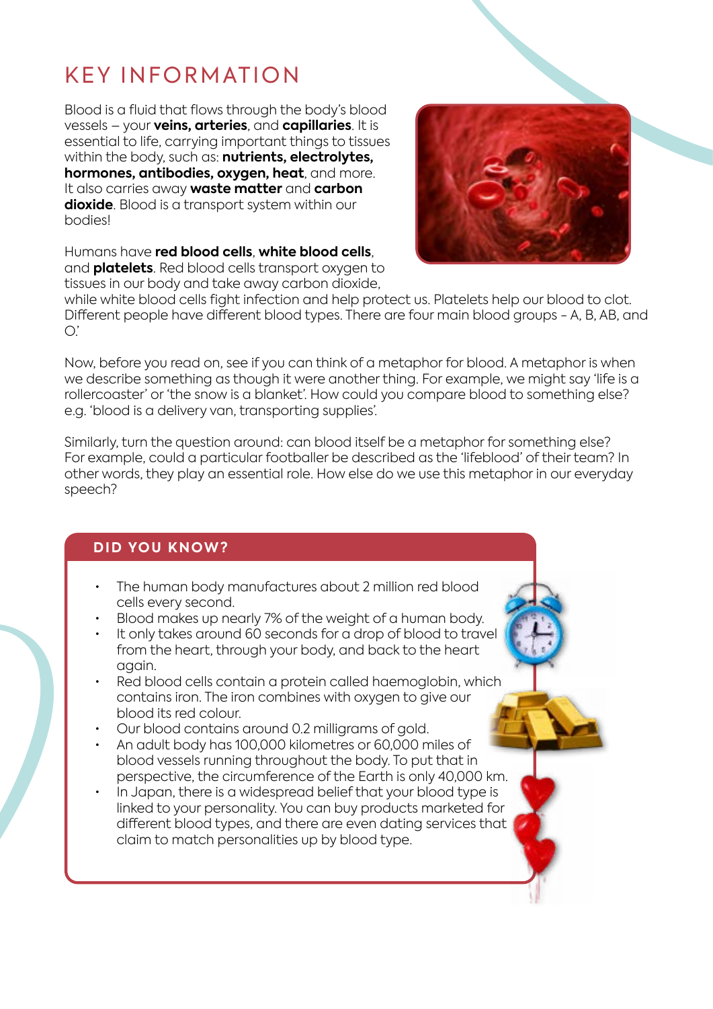# KEY INFORMATION

Blood is a fluid that flows through the body's blood vessels – your **veins, arteries**, and **capillaries**. It is essential to life, carrying important things to tissues within the body, such as: **nutrients, electrolytes, hormones, antibodies, oxygen, heat**, and more. It also carries away **waste matter** and **carbon dioxide**. Blood is a transport system within our bodies!



Humans have **red blood cells**, **white blood cells**, and **platelets**. Red blood cells transport oxygen to tissues in our body and take away carbon dioxide,

while white blood cells fight infection and help protect us. Platelets help our blood to clot. Different people have different blood types. There are four main blood groups - A, B, AB, and  $O$ .

Now, before you read on, see if you can think of a metaphor for blood. A metaphor is when we describe something as though it were another thing. For example, we might say 'life is a rollercoaster' or 'the snow is a blanket'. How could you compare blood to something else? e.g. 'blood is a delivery van, transporting supplies'.

Similarly, turn the question around: can blood itself be a metaphor for something else? For example, could a particular footballer be described as the 'lifeblood' of their team? In other words, they play an essential role. How else do we use this metaphor in our everyday speech?

#### **DID YOU KNOW?**

- The human body manufactures about 2 million red blood cells every second.
- Blood makes up nearly 7% of the weight of a human body.
- It only takes around 60 seconds for a drop of blood to travel from the heart, through your body, and back to the heart again.
- Red blood cells contain a protein called haemoglobin, which contains iron. The iron combines with oxygen to give our blood its red colour.
- Our blood contains around 0.2 milligrams of gold.
- An adult body has 100,000 kilometres or 60,000 miles of blood vessels running throughout the body. To put that in perspective, the circumference of the Earth is only 40,000 km.
- In Japan, there is a widespread belief that your blood type is linked to your personality. You can buy products marketed for different blood types, and there are even dating services that claim to match personalities up by blood type.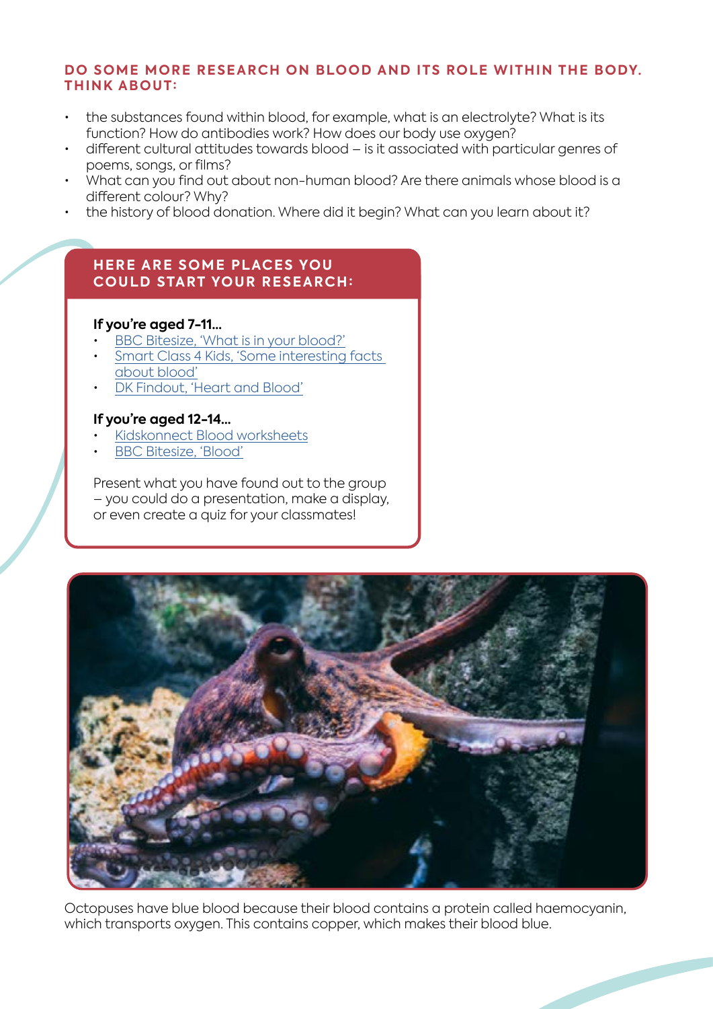#### **DO SOME MORE RESEARCH ON BLOOD AND ITS ROLE WITHIN THE BODY. THINK ABOUT:**

- the substances found within blood, for example, what is an electrolyte? What is its function? How do antibodies work? How does our body use oxygen?
- different cultural attitudes towards blood is it associated with particular genres of poems, songs, or films?
- What can you find out about non-human blood? Are there animals whose blood is a different colour? Why?
- the history of blood donation. Where did it begin? What can you learn about it?

#### **HERE ARE SOME PLACES YOU COULD START YOUR RESEARCH:**

#### **If you're aged 7-11…**

- [BBC Bitesize, 'What is in your blood?'](https://www.bbc.co.uk/bitesize/topics/zwdr6yc/articles/zqv4cwx)
- [Smart Class 4 Kids, 'Some interesting facts](https://smartclass4kids.com/science/human-body/blood-facts/)  [about blood'](https://smartclass4kids.com/science/human-body/blood-facts/)
- [DK Findout, 'Heart and Blood'](https://www.dkfindout.com/uk/human-body/heart-and-blood/)

#### **If you're aged 12-14…**

- [Kidskonnect Blood worksheets](https://kidskonnect.com/science/blood/)
- [BBC Bitesize, 'Blood'](https://www.bbc.co.uk/bitesize/guides/ztp9q6f/revision/1)

Present what you have found out to the group – you could do a presentation, make a display, or even create a quiz for your classmates!



Octopuses have blue blood because their blood contains a protein called haemocyanin, which transports oxygen. This contains copper, which makes their blood blue.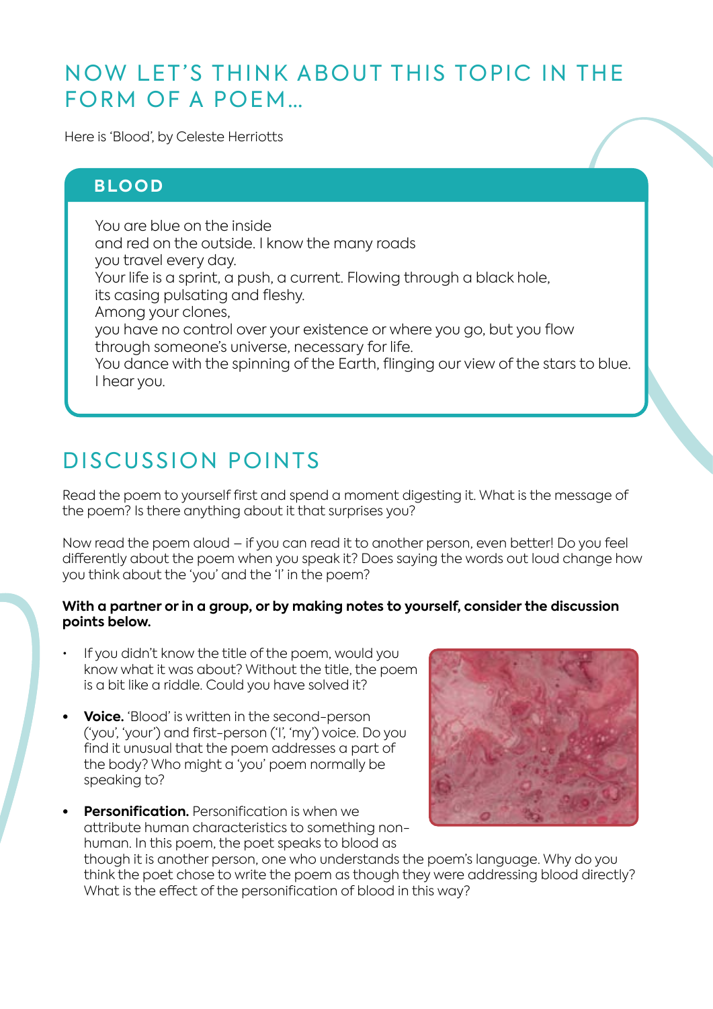# NOW LET'S THINK ABOUT THIS TOPIC IN THE FORM OF A POEM…

Here is 'Blood', by Celeste Herriotts

#### **BLOOD**

You are blue on the inside and red on the outside. I know the many roads you travel every day. Your life is a sprint, a push, a current. Flowing through a black hole, its casing pulsating and fleshy. Among your clones, you have no control over your existence or where you go, but you flow through someone's universe, necessary for life. You dance with the spinning of the Earth, flinging our view of the stars to blue. I hear you.

# DISCUSSION POINTS

Read the poem to yourself first and spend a moment digesting it. What is the message of the poem? Is there anything about it that surprises you?

Now read the poem aloud – if you can read it to another person, even better! Do you feel differently about the poem when you speak it? Does saying the words out loud change how you think about the 'you' and the 'I' in the poem?

#### **With a partner or in a group, or by making notes to yourself, consider the discussion points below.**

- If you didn't know the title of the poem, would you know what it was about? Without the title, the poem is a bit like a riddle. Could you have solved it?
- **• Voice.** 'Blood' is written in the second-person ('you', 'your') and first-person ('I', 'my') voice. Do you find it unusual that the poem addresses a part of the body? Who might a 'you' poem normally be speaking to?
- **Personification**. Personification is when we attribute human characteristics to something nonhuman. In this poem, the poet speaks to blood as though it is another person, one who understands the poem's language. Why do you think the poet chose to write the poem as though they were addressing blood directly? What is the effect of the personification of blood in this way?

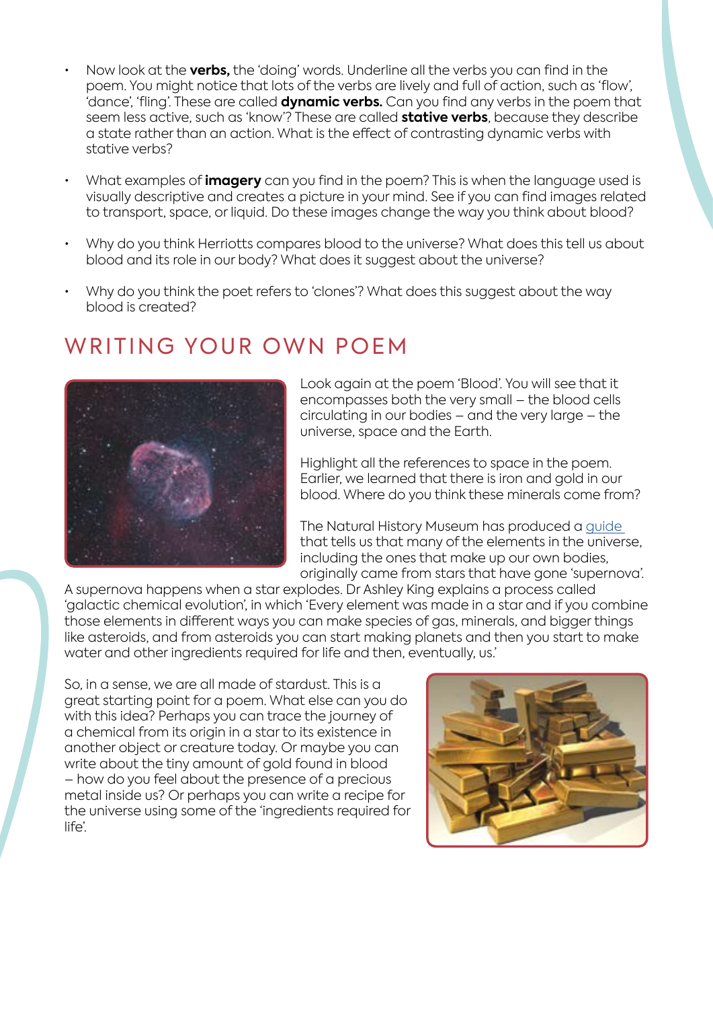- Now look at the **verbs,** the 'doing' words. Underline all the verbs you can find in the poem. You might notice that lots of the verbs are lively and full of action, such as 'flow', 'dance', 'fling'. These are called **dynamic verbs.** Can you find any verbs in the poem that seem less active, such as 'know'? These are called **stative verbs**, because they describe a state rather than an action. What is the effect of contrasting dynamic verbs with stative verbs?
- What examples of **imagery** can you find in the poem? This is when the language used is visually descriptive and creates a picture in your mind. See if you can find images related to transport, space, or liquid. Do these images change the way you think about blood?
- Why do you think Herriotts compares blood to the universe? What does this tell us about blood and its role in our body? What does it suggest about the universe?
- Why do you think the poet refers to 'clones'? What does this suggest about the way blood is created?

# WRITING YOUR OWN POEM



Look again at the poem 'Blood'. You will see that it encompasses both the very small – the blood cells circulating in our bodies – and the very large – the universe, space and the Earth.

Highlight all the references to space in the poem. Earlier, we learned that there is iron and gold in our blood. Where do you think these minerals come from?

The Natural History Museum has produced a [guide](https://www.nhm.ac.uk/discover/are-we-really-made-of-stardust.html) that tells us that many of the elements in the universe, including the ones that make up our own bodies, originally came from stars that have gone 'supernova'.

A supernova happens when a star explodes. Dr Ashley King explains a process called 'galactic chemical evolution', in which 'Every element was made in a star and if you combine those elements in different ways you can make species of gas, minerals, and bigger things like asteroids, and from asteroids you can start making planets and then you start to make water and other ingredients required for life and then, eventually, us.'

So, in a sense, we are all made of stardust. This is a great starting point for a poem. What else can you do with this idea? Perhaps you can trace the journey of a chemical from its origin in a star to its existence in another object or creature today. Or maybe you can write about the tiny amount of gold found in blood – how do you feel about the presence of a precious metal inside us? Or perhaps you can write a recipe for the universe using some of the 'ingredients required for life'.